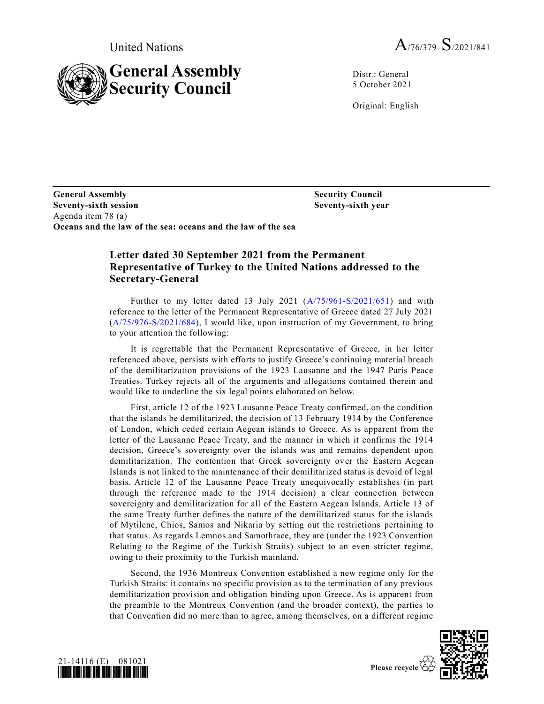



Distr.: General 5 October 2021

Original: English

**General Assembly Security Council Seventy-sixth session Seventy-sixth year** Agenda item 78 (a) **Oceans and the law of the sea: oceans and the law of the sea**

## **Letter dated 30 September 2021 from the Permanent Representative of Turkey to the United Nations addressed to the Secretary-General**

Further to my letter dated 13 July 2021 [\(A/75/961-S/2021/651\)](https://undocs.org/en/A/75/961) and with reference to the letter of the Permanent Representative of Greece dated 27 July 2021 [\(A/75/976-S/2021/684\)](https://undocs.org/en/A/75/976), I would like, upon instruction of my Government, to bring to your attention the following:

It is regrettable that the Permanent Representative of Greece, in her letter referenced above, persists with efforts to justify Greece's continuing material breach of the demilitarization provisions of the 1923 Lausanne and the 1947 Paris Peace Treaties. Turkey rejects all of the arguments and allegations contained therein and would like to underline the six legal points elaborated on below.

First, article 12 of the 1923 Lausanne Peace Treaty confirmed, on the condition that the islands be demilitarized, the decision of 13 February 1914 by the Conference of London, which ceded certain Aegean islands to Greece. As is apparent from the letter of the Lausanne Peace Treaty, and the manner in which it confirms the 1914 decision, Greece's sovereignty over the islands was and remains dependent upon demilitarization. The contention that Greek sovereignty over the Eastern Aegean Islands is not linked to the maintenance of their demilitarized status is devoid of legal basis. Article 12 of the Lausanne Peace Treaty unequivocally establishes (in part through the reference made to the 1914 decision) a clear connection between sovereignty and demilitarization for all of the Eastern Aegean Islands. Article 13 of the same Treaty further defines the nature of the demilitarized status for the islands of Mytilene, Chios, Samos and Nikaria by setting out the restrictions pertaining to that status. As regards Lemnos and Samothrace, they are (under the 1923 Convention Relating to the Regime of the Turkish Straits) subject to an even stricter regime, owing to their proximity to the Turkish mainland.

Second, the 1936 Montreux Convention established a new regime only for the Turkish Straits: it contains no specific provision as to the termination of any previous demilitarization provision and obligation binding upon Greece. As is apparent from the preamble to the Montreux Convention (and the broader context), the parties to that Convention did no more than to agree, among themselves, on a different regime



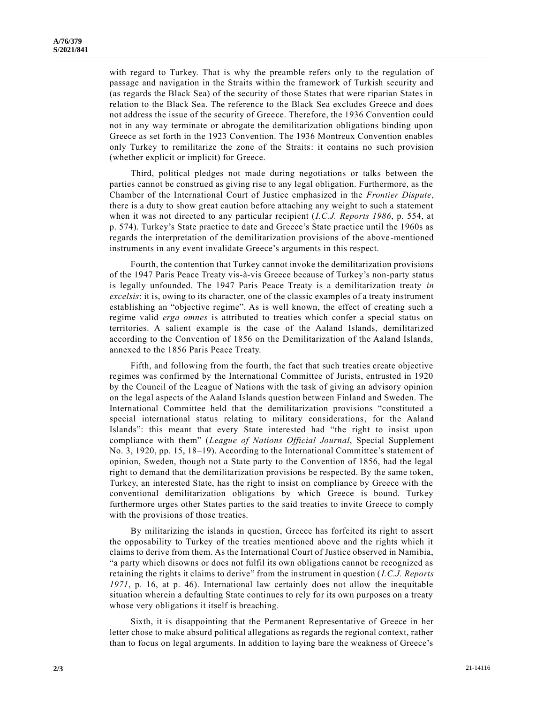with regard to Turkey. That is why the preamble refers only to the regulation of passage and navigation in the Straits within the framework of Turkish security and (as regards the Black Sea) of the security of those States that were riparian States in relation to the Black Sea. The reference to the Black Sea excludes Greece and does not address the issue of the security of Greece. Therefore, the 1936 Convention could not in any way terminate or abrogate the demilitarization obligations binding upon Greece as set forth in the 1923 Convention. The 1936 Montreux Convention enables only Turkey to remilitarize the zone of the Straits: it contains no such provision (whether explicit or implicit) for Greece.

Third, political pledges not made during negotiations or talks between the parties cannot be construed as giving rise to any legal obligation. Furthermore, as the Chamber of the International Court of Justice emphasized in the *Frontier Dispute*, there is a duty to show great caution before attaching any weight to such a statement when it was not directed to any particular recipient (*I.C.J. Reports 1986*, p. 554, at p. 574). Turkey's State practice to date and Greece's State practice until the 1960s as regards the interpretation of the demilitarization provisions of the above -mentioned instruments in any event invalidate Greece's arguments in this respect.

Fourth, the contention that Turkey cannot invoke the demilitarization provisions of the 1947 Paris Peace Treaty vis-à-vis Greece because of Turkey's non-party status is legally unfounded. The 1947 Paris Peace Treaty is a demilitarization treaty *in excelsis*: it is, owing to its character, one of the classic examples of a treaty instrument establishing an "objective regime". As is well known, the effect of creating such a regime valid *erga omnes* is attributed to treaties which confer a special status on territories. A salient example is the case of the Aaland Islands, demilitarized according to the Convention of 1856 on the Demilitarization of the Aaland Islands, annexed to the 1856 Paris Peace Treaty.

Fifth, and following from the fourth, the fact that such treaties create objective regimes was confirmed by the International Committee of Jurists, entrusted in 1920 by the Council of the League of Nations with the task of giving an advisory opinion on the legal aspects of the Aaland Islands question between Finland and Sweden. The International Committee held that the demilitarization provisions "constituted a special international status relating to military considerations, for the Aaland Islands": this meant that every State interested had "the right to insist upon compliance with them" (*League of Nations Official Journal*, Special Supplement No. 3, 1920, pp. 15, 18–19). According to the International Committee's statement of opinion, Sweden, though not a State party to the Convention of 1856, had the legal right to demand that the demilitarization provisions be respected. By the same token, Turkey, an interested State, has the right to insist on compliance by Greece with the conventional demilitarization obligations by which Greece is bound. Turkey furthermore urges other States parties to the said treaties to invite Greece to comply with the provisions of those treaties.

By militarizing the islands in question, Greece has forfeited its right to assert the opposability to Turkey of the treaties mentioned above and the rights which it claims to derive from them. As the International Court of Justice observed in Namibia, "a party which disowns or does not fulfil its own obligations cannot be recognized as retaining the rights it claims to derive" from the instrument in question (*I.C.J. Reports 1971*, p. 16, at p. 46). International law certainly does not allow the inequitable situation wherein a defaulting State continues to rely for its own purposes on a treaty whose very obligations it itself is breaching.

Sixth, it is disappointing that the Permanent Representative of Greece in her letter chose to make absurd political allegations as regards the regional context, rather than to focus on legal arguments. In addition to laying bare the weakness of Greece's